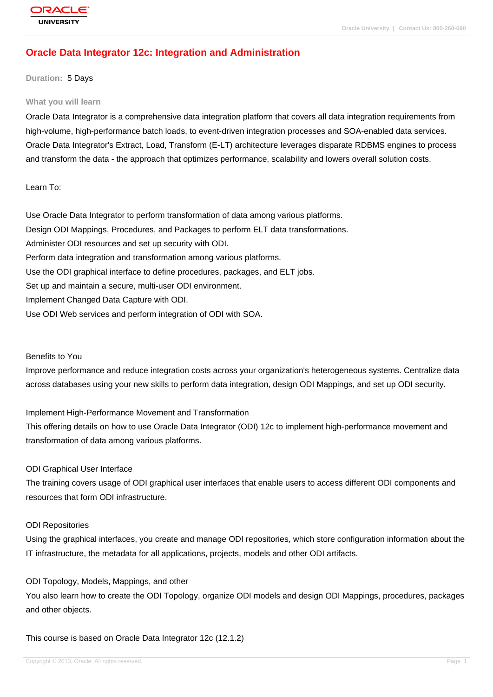# **[Oracle Data Int](http://education.oracle.com/pls/web_prod-plq-dad/db_pages.getpage?page_id=3)egrator 12c: Integration and Administration**

#### **Duration:** 5 Days

#### **What you will learn**

Oracle Data Integrator is a comprehensive data integration platform that covers all data integration requirements from high-volume, high-performance batch loads, to event-driven integration processes and SOA-enabled data services. Oracle Data Integrator's Extract, Load, Transform (E-LT) architecture leverages disparate RDBMS engines to process and transform the data - the approach that optimizes performance, scalability and lowers overall solution costs.

Learn To:

Use Oracle Data Integrator to perform transformation of data among various platforms. Design ODI Mappings, Procedures, and Packages to perform ELT data transformations. Administer ODI resources and set up security with ODI. Perform data integration and transformation among various platforms. Use the ODI graphical interface to define procedures, packages, and ELT jobs. Set up and maintain a secure, multi-user ODI environment. Implement Changed Data Capture with ODI. Use ODI Web services and perform integration of ODI with SOA.

#### Benefits to You

Improve performance and reduce integration costs across your organization's heterogeneous systems. Centralize data across databases using your new skills to perform data integration, design ODI Mappings, and set up ODI security.

Implement High-Performance Movement and Transformation

This offering details on how to use Oracle Data Integrator (ODI) 12c to implement high-performance movement and transformation of data among various platforms.

### ODI Graphical User Interface

The training covers usage of ODI graphical user interfaces that enable users to access different ODI components and resources that form ODI infrastructure.

#### ODI Repositories

Using the graphical interfaces, you create and manage ODI repositories, which store configuration information about the IT infrastructure, the metadata for all applications, projects, models and other ODI artifacts.

### ODI Topology, Models, Mappings, and other

You also learn how to create the ODI Topology, organize ODI models and design ODI Mappings, procedures, packages and other objects.

This course is based on Oracle Data Integrator 12c (12.1.2)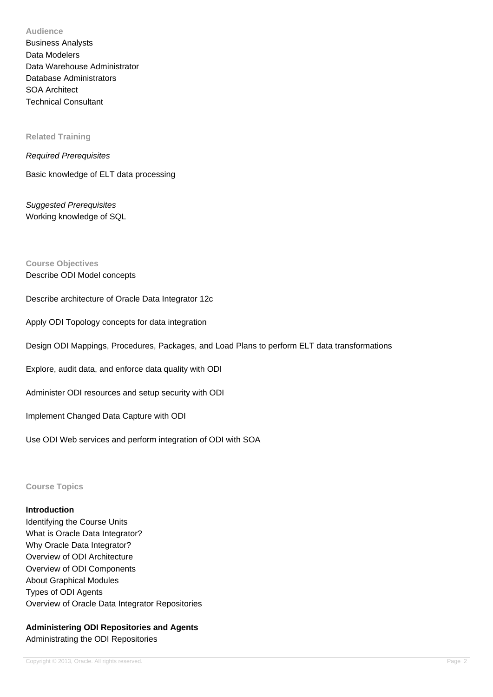**Audience**

Business Analysts Data Modelers Data Warehouse Administrator Database Administrators SOA Architect Technical Consultant

**Related Training**

#### Required Prerequisites

Basic knowledge of ELT data processing

Suggested Prerequisites Working knowledge of SQL

### **Course Objectives**

Describe ODI Model concepts

Describe architecture of Oracle Data Integrator 12c

Apply ODI Topology concepts for data integration

Design ODI Mappings, Procedures, Packages, and Load Plans to perform ELT data transformations

Explore, audit data, and enforce data quality with ODI

Administer ODI resources and setup security with ODI

Implement Changed Data Capture with ODI

Use ODI Web services and perform integration of ODI with SOA

**Course Topics**

## **Introduction**

Identifying the Course Units What is Oracle Data Integrator? Why Oracle Data Integrator? Overview of ODI Architecture Overview of ODI Components About Graphical Modules Types of ODI Agents Overview of Oracle Data Integrator Repositories

# **Administering ODI Repositories and Agents** Administrating the ODI Repositories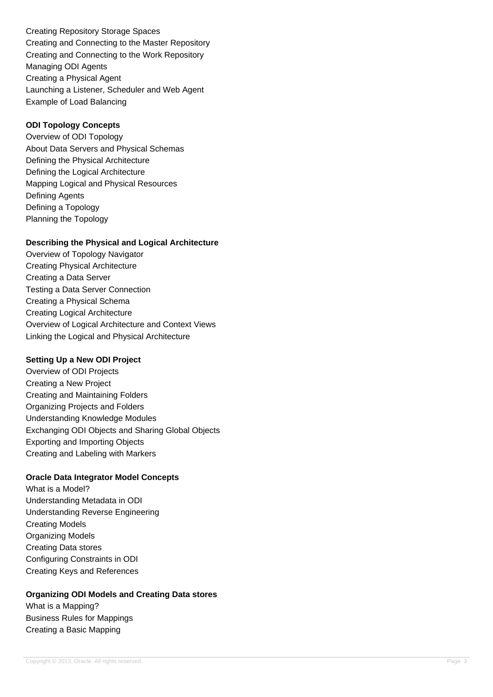Creating Repository Storage Spaces Creating and Connecting to the Master Repository Creating and Connecting to the Work Repository Managing ODI Agents Creating a Physical Agent Launching a Listener, Scheduler and Web Agent Example of Load Balancing

# **ODI Topology Concepts**

Overview of ODI Topology About Data Servers and Physical Schemas Defining the Physical Architecture Defining the Logical Architecture Mapping Logical and Physical Resources Defining Agents Defining a Topology Planning the Topology

## **Describing the Physical and Logical Architecture**

Overview of Topology Navigator Creating Physical Architecture Creating a Data Server Testing a Data Server Connection Creating a Physical Schema Creating Logical Architecture Overview of Logical Architecture and Context Views Linking the Logical and Physical Architecture

### **Setting Up a New ODI Project**

Overview of ODI Projects Creating a New Project Creating and Maintaining Folders Organizing Projects and Folders Understanding Knowledge Modules Exchanging ODI Objects and Sharing Global Objects Exporting and Importing Objects Creating and Labeling with Markers

# **Oracle Data Integrator Model Concepts**

What is a Model? Understanding Metadata in ODI Understanding Reverse Engineering Creating Models Organizing Models Creating Data stores Configuring Constraints in ODI Creating Keys and References

# **Organizing ODI Models and Creating Data stores**

What is a Mapping? Business Rules for Mappings Creating a Basic Mapping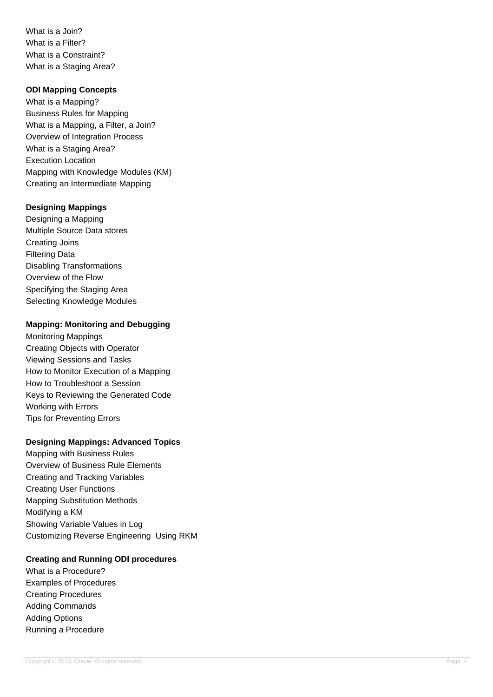What is a Join? What is a Filter? What is a Constraint? What is a Staging Area?

### **ODI Mapping Concepts**

What is a Mapping? Business Rules for Mapping What is a Mapping, a Filter, a Join? Overview of Integration Process What is a Staging Area? Execution Location Mapping with Knowledge Modules (KM) Creating an Intermediate Mapping

## **Designing Mappings**

Designing a Mapping Multiple Source Data stores Creating Joins Filtering Data Disabling Transformations Overview of the Flow Specifying the Staging Area Selecting Knowledge Modules

## **Mapping: Monitoring and Debugging**

Monitoring Mappings Creating Objects with Operator Viewing Sessions and Tasks How to Monitor Execution of a Mapping How to Troubleshoot a Session Keys to Reviewing the Generated Code Working with Errors Tips for Preventing Errors

# **Designing Mappings: Advanced Topics**

Mapping with Business Rules Overview of Business Rule Elements Creating and Tracking Variables Creating User Functions Mapping Substitution Methods Modifying a KM Showing Variable Values in Log Customizing Reverse Engineering Using RKM

### **Creating and Running ODI procedures**

What is a Procedure? Examples of Procedures Creating Procedures Adding Commands Adding Options Running a Procedure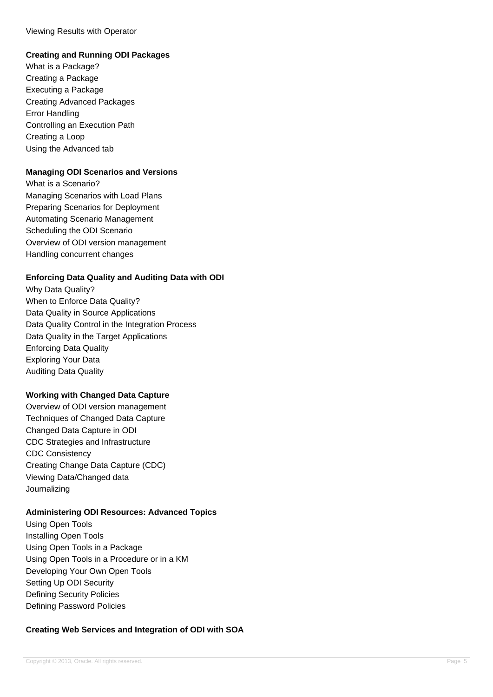## Viewing Results with Operator

# **Creating and Running ODI Packages**

What is a Package? Creating a Package Executing a Package Creating Advanced Packages Error Handling Controlling an Execution Path Creating a Loop Using the Advanced tab

#### **Managing ODI Scenarios and Versions**

What is a Scenario? Managing Scenarios with Load Plans Preparing Scenarios for Deployment Automating Scenario Management Scheduling the ODI Scenario Overview of ODI version management Handling concurrent changes

### **Enforcing Data Quality and Auditing Data with ODI**

Why Data Quality? When to Enforce Data Quality? Data Quality in Source Applications Data Quality Control in the Integration Process Data Quality in the Target Applications Enforcing Data Quality Exploring Your Data Auditing Data Quality

### **Working with Changed Data Capture**

Overview of ODI version management Techniques of Changed Data Capture Changed Data Capture in ODI CDC Strategies and Infrastructure CDC Consistency Creating Change Data Capture (CDC) Viewing Data/Changed data Journalizing

### **Administering ODI Resources: Advanced Topics**

Using Open Tools Installing Open Tools Using Open Tools in a Package Using Open Tools in a Procedure or in a KM Developing Your Own Open Tools Setting Up ODI Security Defining Security Policies Defining Password Policies

### **Creating Web Services and Integration of ODI with SOA**